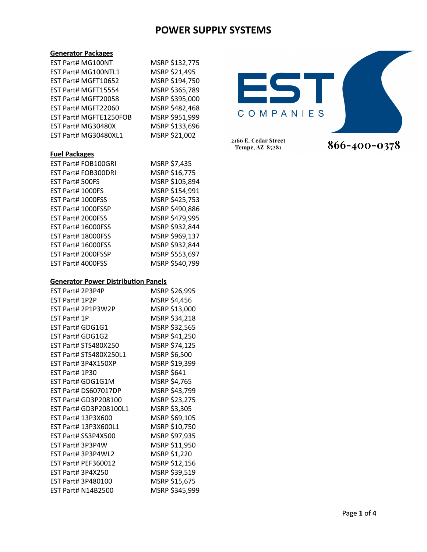MSRP \$132,775 MSRP \$21,495 MSRP \$194,750 MSRP \$365,789 MSRP \$395,000 MSRP \$482,468 MSRP \$951,999 MSRP \$133,696 MSRP \$21,002

#### **Generator Packages**

| EST Part# MG100NT      |  |
|------------------------|--|
| EST Part# MG100NTL1    |  |
| EST Part# MGFT10652    |  |
| EST Part# MGFT15554    |  |
| EST Part# MGFT20058    |  |
| EST Part# MGFT22060    |  |
| EST Part# MGFTE1250FOB |  |
| EST Part# MG30480X     |  |
| EST Part# MG30480XL1   |  |
|                        |  |

### **Fuel Packages**

|                   | EST Part# FOB100GRI | MSRP \$7,435   |
|-------------------|---------------------|----------------|
|                   | EST Part# FOB300DRI | MSRP \$16,775  |
| EST Part# 500FS   |                     | MSRP \$105,894 |
| EST Part# 1000FS  |                     | MSRP \$154,991 |
| EST Part# 1000FSS |                     | MSRP \$425,753 |
|                   | EST Part# 1000FSSP  | MSRP \$490,886 |
| EST Part# 2000FSS |                     | MSRP \$479,995 |
|                   | EST Part# 16000FSS  | MSRP \$932,844 |
|                   | EST Part# 18000FSS  | MSRP \$969,137 |
|                   | EST Part# 16000FSS  | MSRP \$932,844 |
|                   | EST Part# 2000FSSP  | MSRP \$553,697 |
| EST Part# 4000FSS |                     | MSRP \$540,799 |

#### **Generator Power Distribution Panels**

| EST Part# 2P3P4P          | MSRP \$26,995  |
|---------------------------|----------------|
| EST Part# 1P2P            | MSRP \$4,456   |
| EST Part# 2P1P3W2P        | MSRP \$13,000  |
| EST Part# 1P              | MSRP \$34,218  |
| EST Part# GDG1G1          | MSRP \$32,565  |
| EST Part# GDG1G2          | MSRP \$41,250  |
| EST Part# STS480X250      | MSRP \$74,125  |
| EST Part# STS480X250L1    | MSRP \$6,500   |
| EST Part# 3P4X150XP       | MSRP \$19,399  |
| EST Part# 1P30            | MSRP \$641     |
| <b>EST Part# GDG1G1M</b>  | MSRP \$4,765   |
| EST Part# DS607017DP      | MSRP \$43,799  |
| EST Part# GD3P208100      | MSRP \$23,275  |
| EST Part# GD3P208100L1    | MSRP \$3,305   |
| EST Part# 13P3X600        | MSRP \$69,105  |
| EST Part# 13P3X600L1      | MSRP \$10,750  |
| EST Part# SS3P4X500       | MSRP \$97,935  |
| EST Part# 3P3P4W          | MSRP \$11,950  |
| EST Part# 3P3P4WL2        | MSRP \$1,220   |
| EST Part# PEF360012       | MSRP \$12,156  |
| <b>EST Part# 3P4X250</b>  | MSRP \$39,519  |
| EST Part# 3P480100        | MSRP \$15,675  |
| <b>EST Part# N14B2500</b> | MSRP \$345,999 |



866-400-0378

2166 E. Cedar Street Tempe, AZ 85281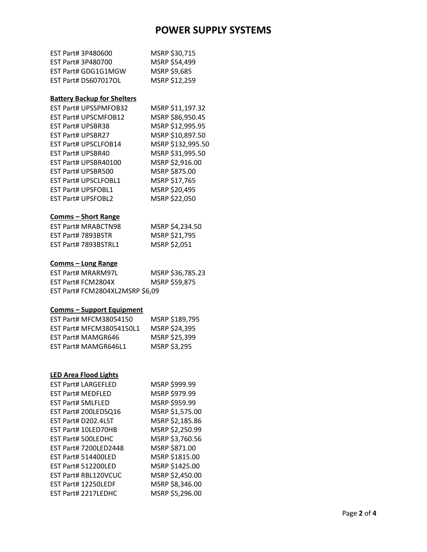| EST Part# 3P480600   | MSRP \$30,715       |
|----------------------|---------------------|
| EST Part# 3P480700   | MSRP \$54,499       |
| EST Part# GDG1G1MGW  | <b>MSRP \$9,685</b> |
| EST Part# DS607017OL | MSRP \$12,259       |

## **Battery Backup for Shelters**

|                          | <b>EST Part# UPSSPMFOB32</b> | MSRP \$11,197.32  |
|--------------------------|------------------------------|-------------------|
|                          | EST Part# UPSCMFOB12         | MSRP \$86,950.45  |
|                          | <b>EST Part# UPSBR38</b>     | MSRP \$12,995.95  |
| <b>EST Part# UPSBR27</b> |                              | MSRP \$10,897.50  |
|                          | EST Part# UPSCLFOB14         | MSRP \$132,995.50 |
|                          | <b>EST Part# UPSBR40</b>     | MSRP \$31,995.50  |
|                          | EST Part# UPSBR40100         | MSRP \$2,916.00   |
|                          | EST Part# UPSBR500           | MSRP \$875.00     |
|                          | <b>EST Part# UPSCLFOBL1</b>  | MSRP \$17,765     |
|                          | <b>EST Part# UPSFOBL1</b>    | MSRP \$20,495     |
|                          | EST Part# UPSFOBL2           | MSRP \$22,050     |
|                          |                              |                   |

## **Comms – Short Range**

| <b>EST Part# MRABCTN98</b>  | MSRP \$4,234.50 |
|-----------------------------|-----------------|
| EST Part# 7893BSTR          | MSRP \$21,795   |
| <b>EST Part# 7893BSTRL1</b> | MSRP \$2,051    |

## **Comms – Long Range**

| EST Part# MRARM97L              | MSRP \$36,785.23 |
|---------------------------------|------------------|
| EST Part# FCM2804X              | MSRP \$59,875    |
| EST Part# FCM2804XL2MSRP \$6,09 |                  |

### **Comms – Support Equipment**

| <b>EST Part# MFCM38054150</b> | MSRP \$189,795 |
|-------------------------------|----------------|
| EST Part# MFCM38054150L1      | MSRP \$24,395  |
| <b>EST Part# MAMGR646</b>     | MSRP \$25,399  |
| EST Part# MAMGR646L1          | MSRP \$3,295   |

## **LED Area Flood Lights**

| <b>EST Part# LARGEFLED</b> | MSRP \$999.99   |
|----------------------------|-----------------|
| <b>EST Part# MEDFLED</b>   | MSRP \$979.99   |
| <b>EST Part# SMLFLED</b>   | MSRP \$959.99   |
| EST Part# 200LEDSQ16       | MSRP \$1,575.00 |
| EST Part# D202.4LST        | MSRP \$2,185.86 |
| EST Part# 10LED70HB        | MSRP \$2,250.99 |
| <b>EST Part# 500LEDHC</b>  | MSRP \$3,760.56 |
| EST Part# 7200LED2448      | MSRP \$871.00   |
| EST Part# 514400LED        | MSRP \$1815.00  |
| <b>EST Part# 512200LED</b> | MSRP \$1425.00  |
| EST Part# RBL120VCUC       | MSRP \$2,450.00 |
| EST Part# 12250LEDF        | MSRP \$8,346.00 |
| EST Part# 2217LEDHC        | MSRP \$5,296.00 |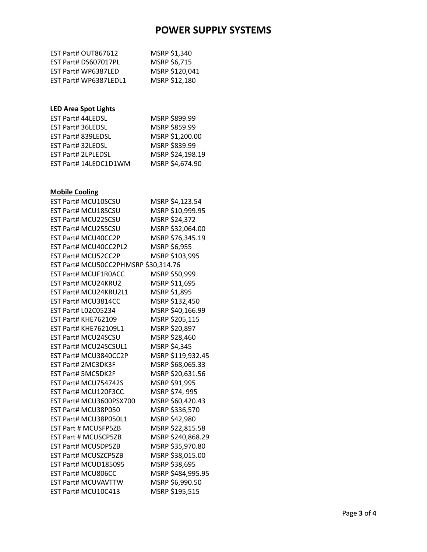| EST Part# OUT867612   | MSRP \$1,340   |
|-----------------------|----------------|
| EST Part# DS607017PL  | MSRP \$6,715   |
| EST Part# WP6387LED   | MSRP \$120,041 |
| EST Part# WP6387LEDL1 | MSRP \$12,180  |

## **LED Area Spot Lights**

| EST Part# 44LEDSL         | MSRP \$899.99    |
|---------------------------|------------------|
| EST Part# 36LEDSL         | MSRP \$859.99    |
| EST Part# 839LEDSL        | MSRP \$1,200.00  |
| <b>EST Part# 32LEDSL</b>  | MSRP \$839.99    |
| <b>EST Part# 2LPLEDSL</b> | MSRP \$24,198.19 |
| EST Part# 14LEDC1D1WM     | MSRP \$4,674.90  |

## **Mobile Cooling**

| <b>EST Part# MCU10SCSU</b>           | MSRP \$4,123.54   |
|--------------------------------------|-------------------|
| <b>EST Part# MCU18SCSU</b>           | MSRP \$10,999.95  |
| <b>EST Part# MCU22SCSU</b>           | MSRP \$24,372     |
| EST Part# MCU25SCSU                  | MSRP \$32,064.00  |
| <b>EST Part# MCU40CC2P</b>           | MSRP \$76,345.19  |
| EST Part# MCU40CC2PL2                | MSRP \$6,955      |
| EST Part# MCU52CC2P                  | MSRP \$103,995    |
| EST Part# MCU50CC2PHMSRP \$30,314.76 |                   |
| <b>EST Part# MCUF1R0ACC</b>          | MSRP \$50,999     |
| EST Part# MCU24KRU2                  | MSRP \$11,695     |
| EST Part# MCU24KRU2L1                | MSRP \$1,895      |
| EST Part# MCU3814CC                  | MSRP \$132,450    |
| <b>EST Part# L02C05234</b>           | MSRP \$40,166.99  |
| EST Part# KHE762109                  | MSRP \$205,115    |
| <b>EST Part# KHE762109L1</b>         | MSRP \$20,897     |
| <b>EST Part# MCU24SCSU</b>           | MSRP \$28,460     |
| EST Part# MCU24SCSUL1                | MSRP \$4,345      |
| EST Part# MCU3840CC2P                | MSRP \$119,932.45 |
| <b>EST Part# 2MC3DK3F</b>            | MSRP \$68,065.33  |
| <b>EST Part# 5MC5DK2F</b>            | MSRP \$20,631.56  |
| EST Part# MCU754742S                 | MSRP \$91,995     |
| EST Part# MCU120F3CC                 | MSRP \$74, 995    |
| EST Part# MCU3600PSX700              | MSRP \$60,420.43  |
| EST Part# MCU38P050                  | MSRP \$336,570    |
| EST Part# MCU38P050L1                | MSRP \$42,980     |
| <b>EST Part # MCUSFP5ZB</b>          | MSRP \$22,815.58  |
| <b>EST Part # MCUSCP5ZB</b>          | MSRP \$240,868.29 |
| <b>EST Part# MCUSDP5ZB</b>           | MSRP \$35,970.80  |
| <b>EST Part# MCUSZCP5ZB</b>          | MSRP \$38,015.00  |
| EST Part# MCUD185095                 | MSRP \$38,695     |
| EST Part# MCU806CC                   | MSRP \$484,995.95 |
| <b>EST Part# MCUVAVTTW</b>           | MSRP \$6,990.50   |
| EST Part# MCU10C413                  | MSRP \$195,515    |